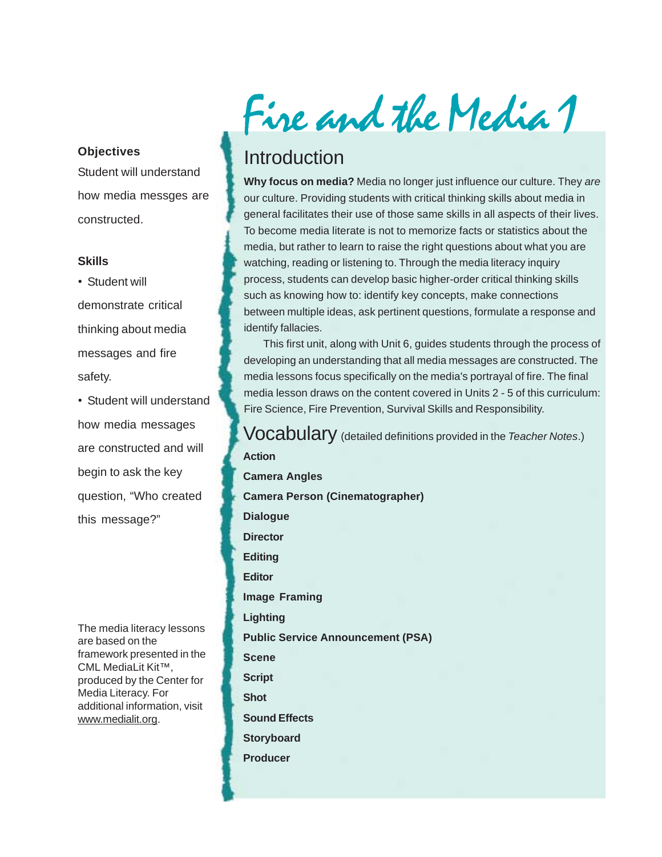#### **Objectives**

Student will understand how media messges are constructed.

#### **Skills**

• Student will demonstrate critical thinking about media messages and fire safety.

• Student will understand how media messages are constructed and will begin to ask the key question, "Who created this message?"

The media literacy lessons are based on the framework presented in the CML MediaLit Kit™, produced by the Center for Media Literacy. For additional information, visit www.medialit.org.

Fire and the Media 1

# Introduction

**Why focus on media?** Media no longer just influence our culture. They *are* our culture. Providing students with critical thinking skills about media in general facilitates their use of those same skills in all aspects of their lives. To become media literate is not to memorize facts or statistics about the media, but rather to learn to raise the right questions about what you are watching, reading or listening to. Through the media literacy inquiry process, students can develop basic higher-order critical thinking skills such as knowing how to: identify key concepts, make connections between multiple ideas, ask pertinent questions, formulate a response and identify fallacies.

This first unit, along with Unit 6, guides students through the process of developing an understanding that all media messages are constructed. The media lessons focus specifically on the media's portrayal of fire. The final media lesson draws on the content covered in Units 2 - 5 of this curriculum: Fire Science, Fire Prevention, Survival Skills and Responsibility.

Vocabulary (detailed definitions provided in the *Teacher Notes*.) **Action**

**Camera Angles Camera Person (Cinematographer) Dialogue Director Editing Editor Image Framing Lighting Public Service Announcement (PSA) Scene Script Shot Sound Effects Storyboard Producer**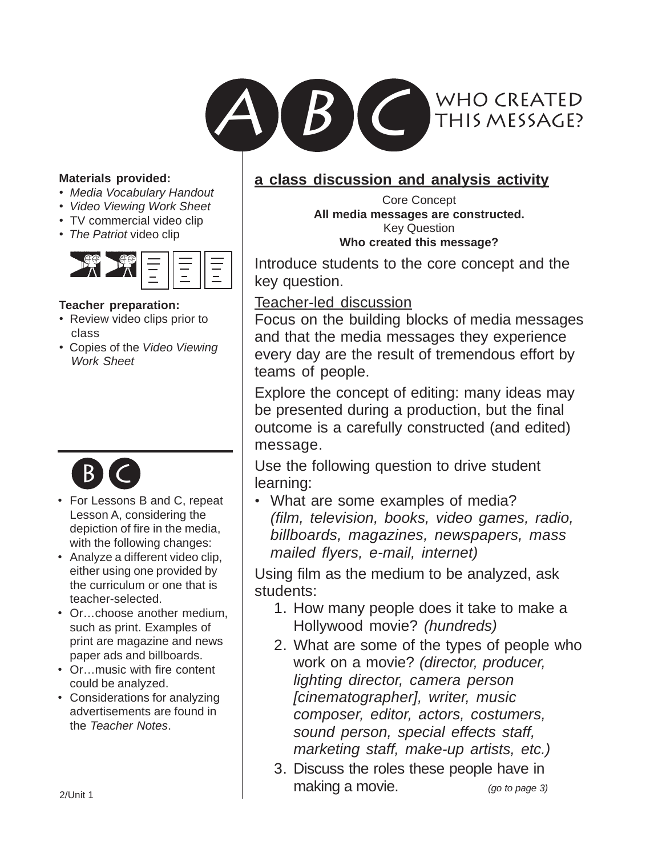

#### **Materials provided:**

- *Media Vocabulary Handout*
- *Video Viewing Work Sheet*
- TV commercial video clip
- *The Patriot* video clip



#### **Teacher preparation:**

- Review video clips prior to class
- Copies of the *Video Viewing Work Sheet*



- For Lessons B and C, repeat Lesson A, considering the depiction of fire in the media, with the following changes:
- Analyze a different video clip, either using one provided by the curriculum or one that is teacher-selected.
- Or…choose another medium, such as print. Examples of print are magazine and news paper ads and billboards.
- Or…music with fire content could be analyzed.
- Considerations for analyzing advertisements are found in the *Teacher Notes*.

#### **a class discussion and analysis activity**

Core Concept **All media messages are constructed.** Key Question **Who created this message?**

Introduce students to the core concept and the key question.

Teacher-led discussion

Focus on the building blocks of media messages and that the media messages they experience every day are the result of tremendous effort by teams of people.

Explore the concept of editing: many ideas may be presented during a production, but the final outcome is a carefully constructed (and edited) message.

Use the following question to drive student learning:

• What are some examples of media? *(film, television, books, video games, radio, billboards, magazines, newspapers, mass mailed flyers, e-mail, internet)*

Using film as the medium to be analyzed, ask students:

- 1. How many people does it take to make a Hollywood movie? *(hundreds)*
- 2. What are some of the types of people who work on a movie? *(director, producer, lighting director, camera person [cinematographer], writer, music composer, editor, actors, costumers, sound person, special effects staff, marketing staff, make-up artists, etc.)*
- 3. Discuss the roles these people have in making a movie. *(go to page 3)*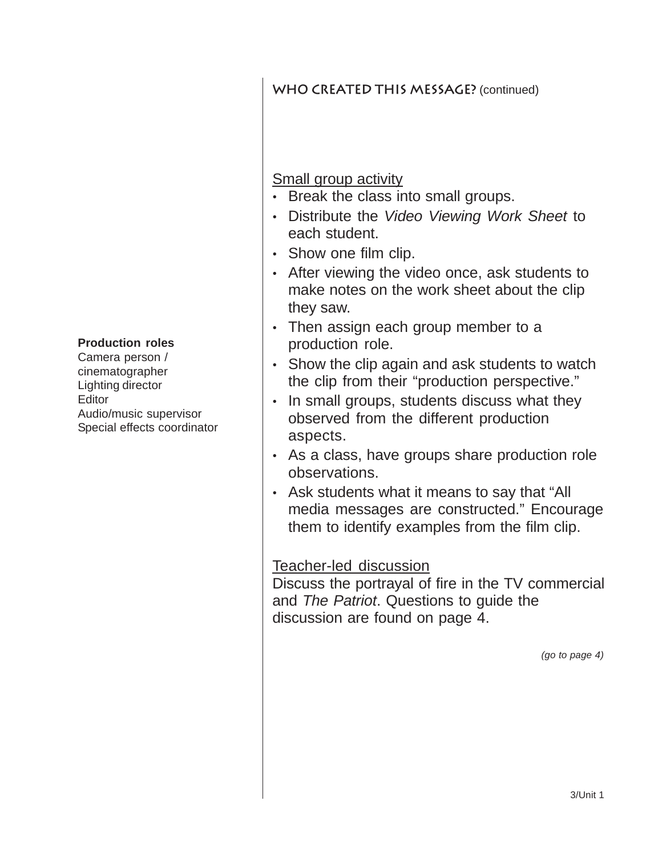WHO CREATED THIS MESSAGE? (continued)

### Small group activity

- Break the class into small groups.
- Distribute the *Video Viewing Work Sheet* to each student.
- Show one film clip.
- After viewing the video once, ask students to make notes on the work sheet about the clip they saw.
- Then assign each group member to a production role.
- Show the clip again and ask students to watch the clip from their "production perspective."
- In small groups, students discuss what they observed from the different production aspects.
- As a class, have groups share production role observations.
- Ask students what it means to say that "All media messages are constructed." Encourage them to identify examples from the film clip.

### Teacher-led discussion

Discuss the portrayal of fire in the TV commercial and *The Patriot*. Questions to guide the discussion are found on page 4.

*(go to page 4)*

#### **Production roles**

Camera person / cinematographer Lighting director **Editor** Audio/music supervisor Special effects coordinator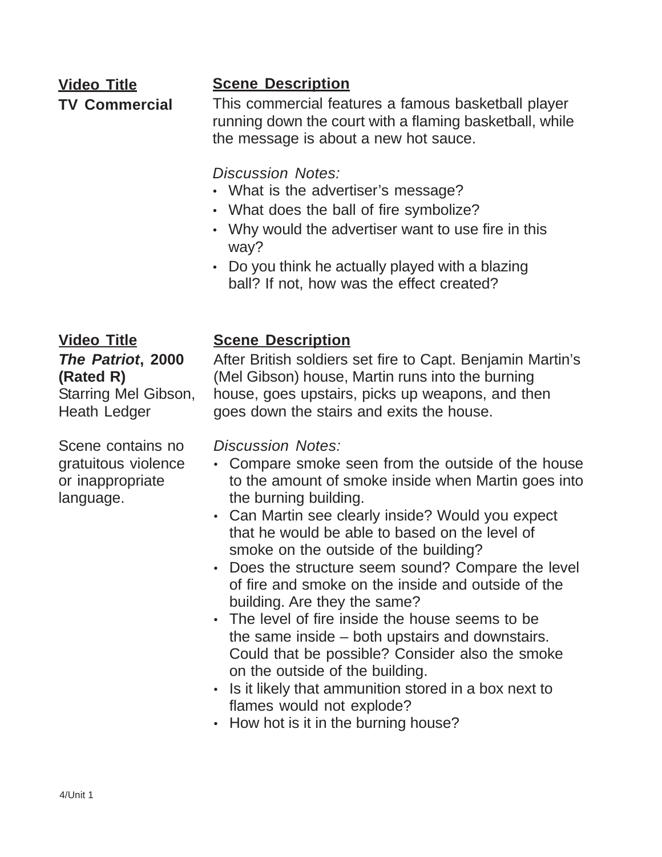### **Video Title TV Commercial**

## **Scene Description**

This commercial features a famous basketball player running down the court with a flaming basketball, while the message is about a new hot sauce.

*Discussion Notes:*

- What is the advertiser's message?
- What does the ball of fire symbolize?
- Why would the advertiser want to use fire in this way?
- Do you think he actually played with a blazing ball? If not, how was the effect created?

**Video Title** *The Patriot***, 2000 (Rated R)** Starring Mel Gibson, Heath Ledger

Scene contains no gratuitous violence or inappropriate language.

## **Scene Description**

After British soldiers set fire to Capt. Benjamin Martin's (Mel Gibson) house, Martin runs into the burning house, goes upstairs, picks up weapons, and then goes down the stairs and exits the house.

*Discussion Notes:*

- Compare smoke seen from the outside of the house to the amount of smoke inside when Martin goes into the burning building.
- Can Martin see clearly inside? Would you expect that he would be able to based on the level of smoke on the outside of the building?
- Does the structure seem sound? Compare the level of fire and smoke on the inside and outside of the building. Are they the same?
- The level of fire inside the house seems to be the same inside – both upstairs and downstairs. Could that be possible? Consider also the smoke on the outside of the building.
- Is it likely that ammunition stored in a box next to flames would not explode?
- How hot is it in the burning house?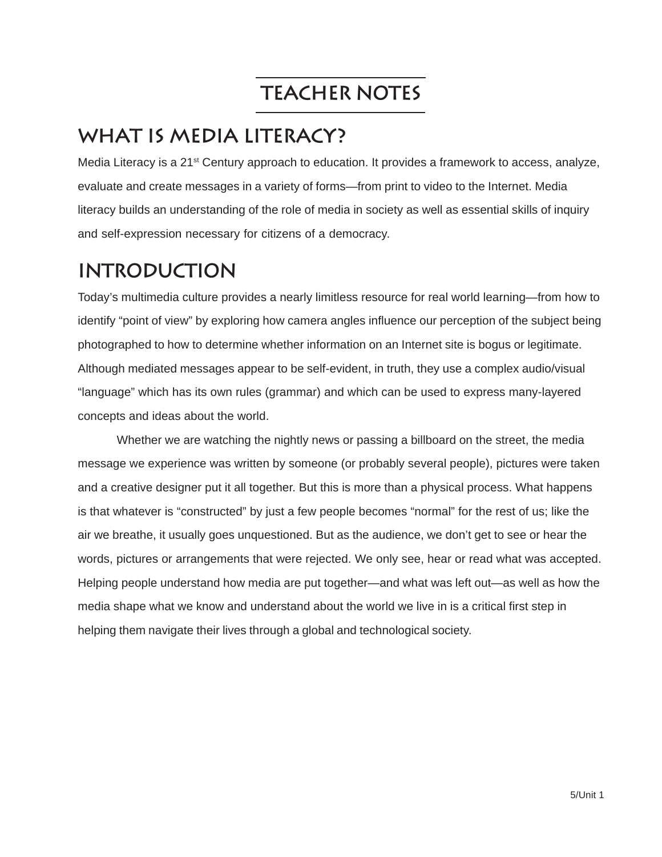# **Teacher Notes**

# **What is Media Literacy?**

Media Literacy is a 21<sup>st</sup> Century approach to education. It provides a framework to access, analyze, evaluate and create messages in a variety of forms—from print to video to the Internet. Media literacy builds an understanding of the role of media in society as well as essential skills of inquiry and self-expression necessary for citizens of a democracy.

# **Introduction**

Today's multimedia culture provides a nearly limitless resource for real world learning—from how to identify "point of view" by exploring how camera angles influence our perception of the subject being photographed to how to determine whether information on an Internet site is bogus or legitimate. Although mediated messages appear to be self-evident, in truth, they use a complex audio/visual "language" which has its own rules (grammar) and which can be used to express many-layered concepts and ideas about the world.

Whether we are watching the nightly news or passing a billboard on the street, the media message we experience was written by someone (or probably several people), pictures were taken and a creative designer put it all together. But this is more than a physical process. What happens is that whatever is "constructed" by just a few people becomes "normal" for the rest of us; like the air we breathe, it usually goes unquestioned. But as the audience, we don't get to see or hear the words, pictures or arrangements that were rejected. We only see, hear or read what was accepted. Helping people understand how media are put together—and what was left out—as well as how the media shape what we know and understand about the world we live in is a critical first step in helping them navigate their lives through a global and technological society.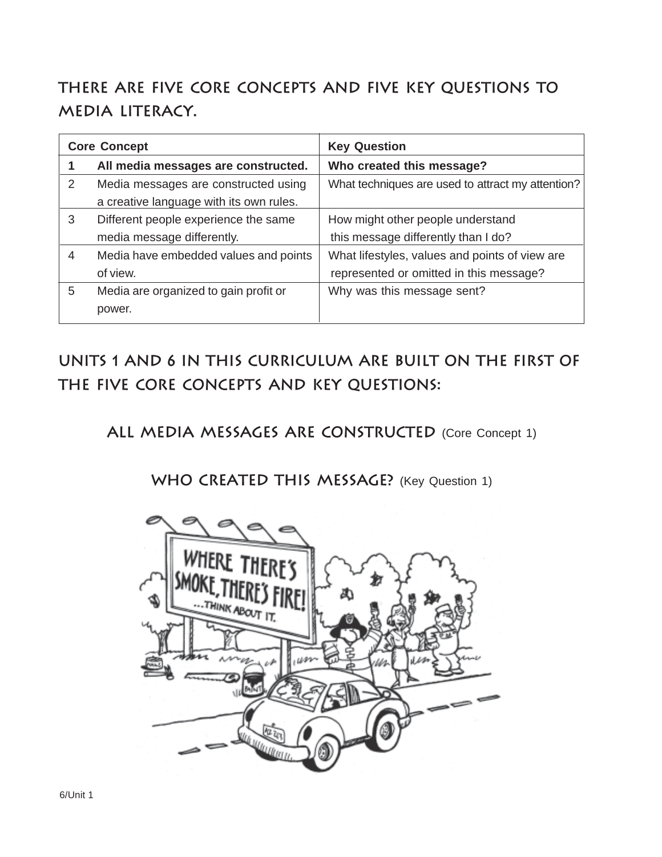# **There are five Core Concepts and five Key Questions to media literacy.**

| <b>Core Concept</b> |                                         | <b>Key Question</b>                               |
|---------------------|-----------------------------------------|---------------------------------------------------|
|                     | All media messages are constructed.     | Who created this message?                         |
| 2                   | Media messages are constructed using    | What techniques are used to attract my attention? |
|                     | a creative language with its own rules. |                                                   |
| 3                   | Different people experience the same    | How might other people understand                 |
|                     | media message differently.              | this message differently than I do?               |
| 4                   | Media have embedded values and points   | What lifestyles, values and points of view are    |
|                     | of view.                                | represented or omitted in this message?           |
| 5                   | Media are organized to gain profit or   | Why was this message sent?                        |
|                     | power.                                  |                                                   |

**Units 1 and 6 in this curriculum are built on the first of the five Core Concepts and Key Questions:**

ALL MEDIA MESSAGES ARE CONSTRUCTED (Core Concept 1)

WHO CREATED THIS MESSAGE? (Key Question 1)

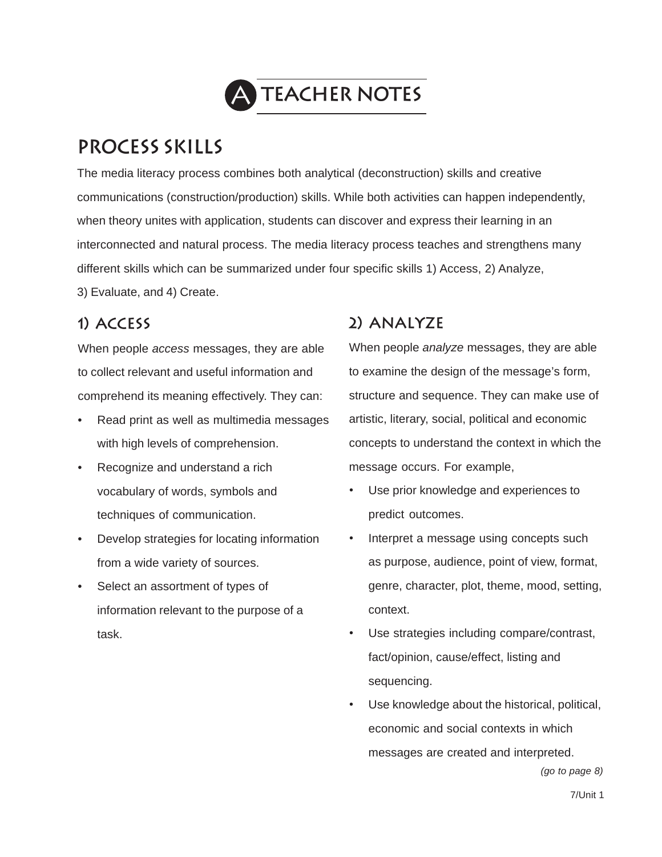

# **Process Skills**

The media literacy process combines both analytical (deconstruction) skills and creative communications (construction/production) skills. While both activities can happen independently, when theory unites with application, students can discover and express their learning in an interconnected and natural process. The media literacy process teaches and strengthens many different skills which can be summarized under four specific skills 1) Access, 2) Analyze,

3) Evaluate, and 4) Create.

## **1) Access**

When people *access* messages, they are able to collect relevant and useful information and comprehend its meaning effectively. They can:

- Read print as well as multimedia messages with high levels of comprehension.
- Recognize and understand a rich vocabulary of words, symbols and techniques of communication.
- Develop strategies for locating information from a wide variety of sources.
- Select an assortment of types of information relevant to the purpose of a task.

# **2) Analyze**

When people *analyze* messages, they are able to examine the design of the message's form, structure and sequence. They can make use of artistic, literary, social, political and economic concepts to understand the context in which the message occurs. For example,

- Use prior knowledge and experiences to predict outcomes.
- Interpret a message using concepts such as purpose, audience, point of view, format, genre, character, plot, theme, mood, setting, context.
- Use strategies including compare/contrast, fact/opinion, cause/effect, listing and sequencing.
- Use knowledge about the historical, political, economic and social contexts in which messages are created and interpreted.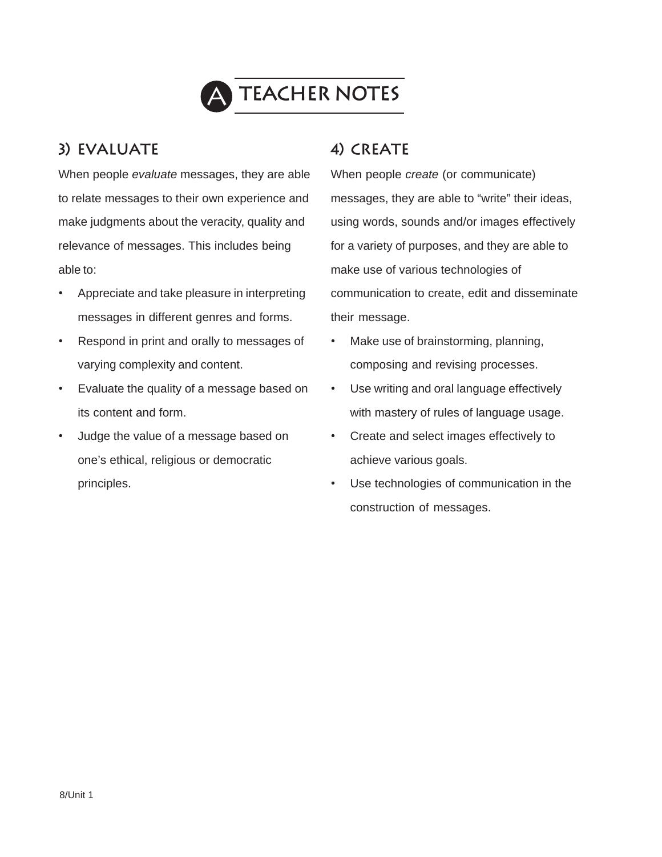

# A **Teacher Notes**

## **3) Evaluate**

When people *evaluate* messages, they are able to relate messages to their own experience and make judgments about the veracity, quality and relevance of messages. This includes being able to:

- Appreciate and take pleasure in interpreting messages in different genres and forms.
- Respond in print and orally to messages of varying complexity and content.
- Evaluate the quality of a message based on its content and form.
- Judge the value of a message based on one's ethical, religious or democratic principles.

## **4) Create**

When people *create* (or communicate) messages, they are able to "write" their ideas, using words, sounds and/or images effectively for a variety of purposes, and they are able to make use of various technologies of communication to create, edit and disseminate their message.

- Make use of brainstorming, planning, composing and revising processes.
- Use writing and oral language effectively with mastery of rules of language usage.
- Create and select images effectively to achieve various goals.
- Use technologies of communication in the construction of messages.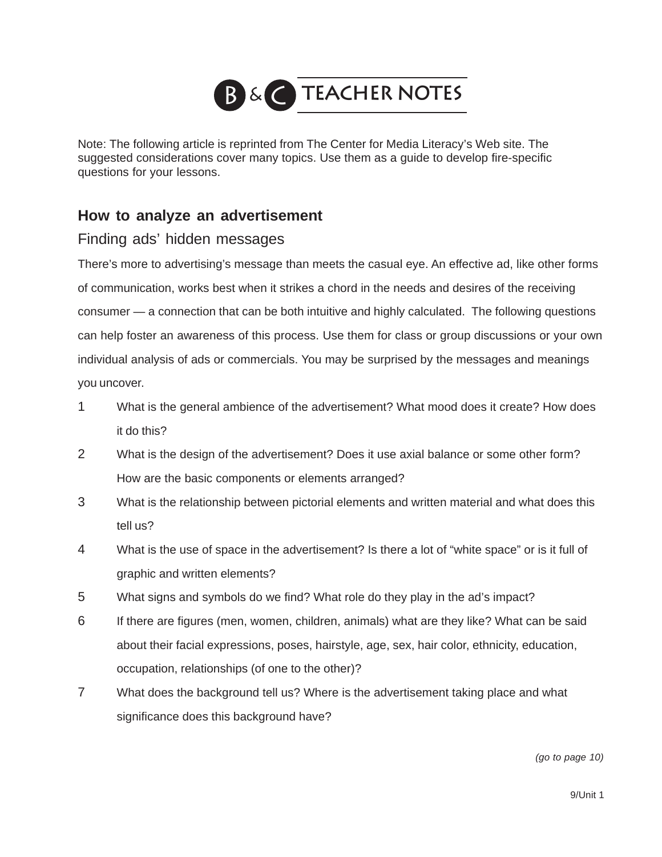

Note: The following article is reprinted from The Center for Media Literacy's Web site. The suggested considerations cover many topics. Use them as a guide to develop fire-specific questions for your lessons.

#### **How to analyze an advertisement**

#### Finding ads' hidden messages

There's more to advertising's message than meets the casual eye. An effective ad, like other forms of communication, works best when it strikes a chord in the needs and desires of the receiving consumer — a connection that can be both intuitive and highly calculated. The following questions can help foster an awareness of this process. Use them for class or group discussions or your own individual analysis of ads or commercials. You may be surprised by the messages and meanings you uncover.

- 1 What is the general ambience of the advertisement? What mood does it create? How does it do this?
- 2 What is the design of the advertisement? Does it use axial balance or some other form? How are the basic components or elements arranged?
- 3 What is the relationship between pictorial elements and written material and what does this tell us?
- 4 What is the use of space in the advertisement? Is there a lot of "white space" or is it full of graphic and written elements?
- 5 What signs and symbols do we find? What role do they play in the ad's impact?
- 6 If there are figures (men, women, children, animals) what are they like? What can be said about their facial expressions, poses, hairstyle, age, sex, hair color, ethnicity, education, occupation, relationships (of one to the other)?
- 7 What does the background tell us? Where is the advertisement taking place and what significance does this background have?

*(go to page 10)*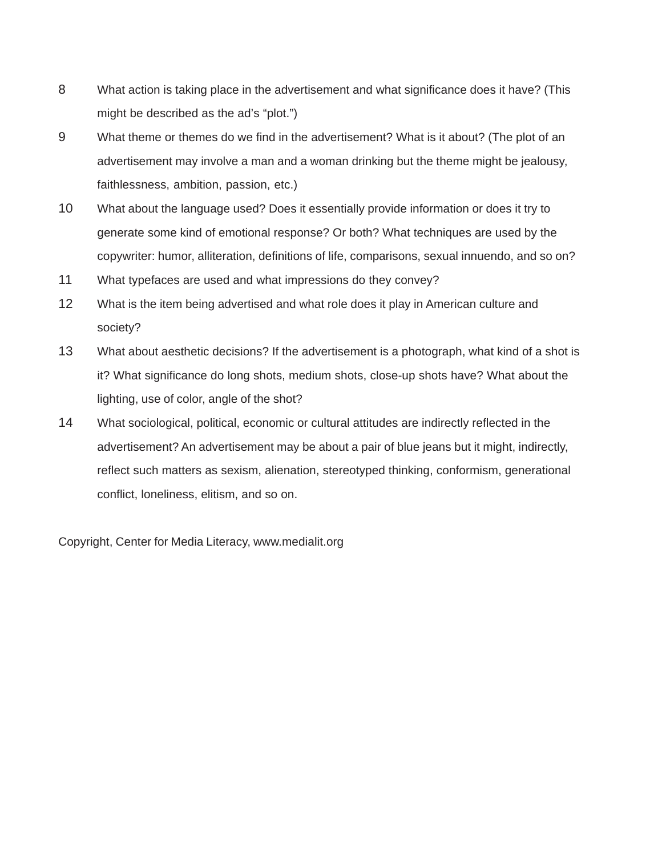- 8 What action is taking place in the advertisement and what significance does it have? (This might be described as the ad's "plot.")
- 9 What theme or themes do we find in the advertisement? What is it about? (The plot of an advertisement may involve a man and a woman drinking but the theme might be jealousy, faithlessness, ambition, passion, etc.)
- 10 What about the language used? Does it essentially provide information or does it try to generate some kind of emotional response? Or both? What techniques are used by the copywriter: humor, alliteration, definitions of life, comparisons, sexual innuendo, and so on?
- 11 What typefaces are used and what impressions do they convey?
- 12 What is the item being advertised and what role does it play in American culture and society?
- 13 What about aesthetic decisions? If the advertisement is a photograph, what kind of a shot is it? What significance do long shots, medium shots, close-up shots have? What about the lighting, use of color, angle of the shot?
- 14 What sociological, political, economic or cultural attitudes are indirectly reflected in the advertisement? An advertisement may be about a pair of blue jeans but it might, indirectly, reflect such matters as sexism, alienation, stereotyped thinking, conformism, generational conflict, loneliness, elitism, and so on.

Copyright, Center for Media Literacy, www.medialit.org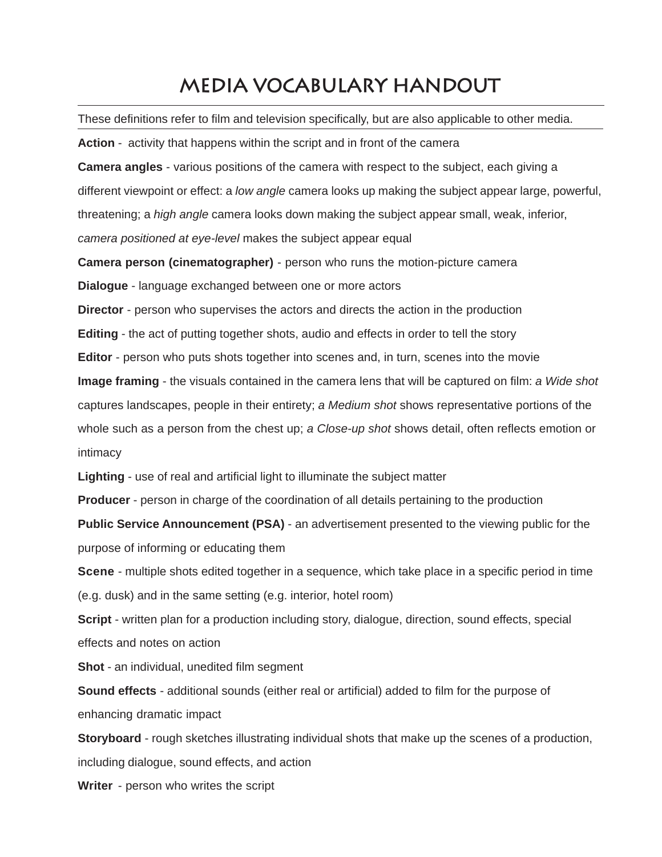# **Media Vocabulary Handout**

These definitions refer to film and television specifically, but are also applicable to other media.

**Action** - activity that happens within the script and in front of the camera

**Camera angles** - various positions of the camera with respect to the subject, each giving a different viewpoint or effect: a *low angle* camera looks up making the subject appear large, powerful, threatening; a *high angle* camera looks down making the subject appear small, weak, inferior, *camera positioned at eye-level* makes the subject appear equal

**Camera person (cinematographer)** - person who runs the motion-picture camera

**Dialogue** - language exchanged between one or more actors

**Director** - person who supervises the actors and directs the action in the production

**Editing** - the act of putting together shots, audio and effects in order to tell the story

**Editor** - person who puts shots together into scenes and, in turn, scenes into the movie

**Image framing** - the visuals contained in the camera lens that will be captured on film: *a Wide shot* captures landscapes, people in their entirety; *a Medium shot* shows representative portions of the

whole such as a person from the chest up; *a Close-up shot* shows detail, often reflects emotion or intimacy

**Lighting** - use of real and artificial light to illuminate the subject matter

**Producer** - person in charge of the coordination of all details pertaining to the production

**Public Service Announcement (PSA)** - an advertisement presented to the viewing public for the purpose of informing or educating them

**Scene** - multiple shots edited together in a sequence, which take place in a specific period in time (e.g. dusk) and in the same setting (e.g. interior, hotel room)

**Script** - written plan for a production including story, dialogue, direction, sound effects, special effects and notes on action

**Shot** - an individual, unedited film segment

**Sound effects** - additional sounds (either real or artificial) added to film for the purpose of enhancing dramatic impact

**Storyboard** - rough sketches illustrating individual shots that make up the scenes of a production, including dialogue, sound effects, and action

**Writer** - person who writes the script